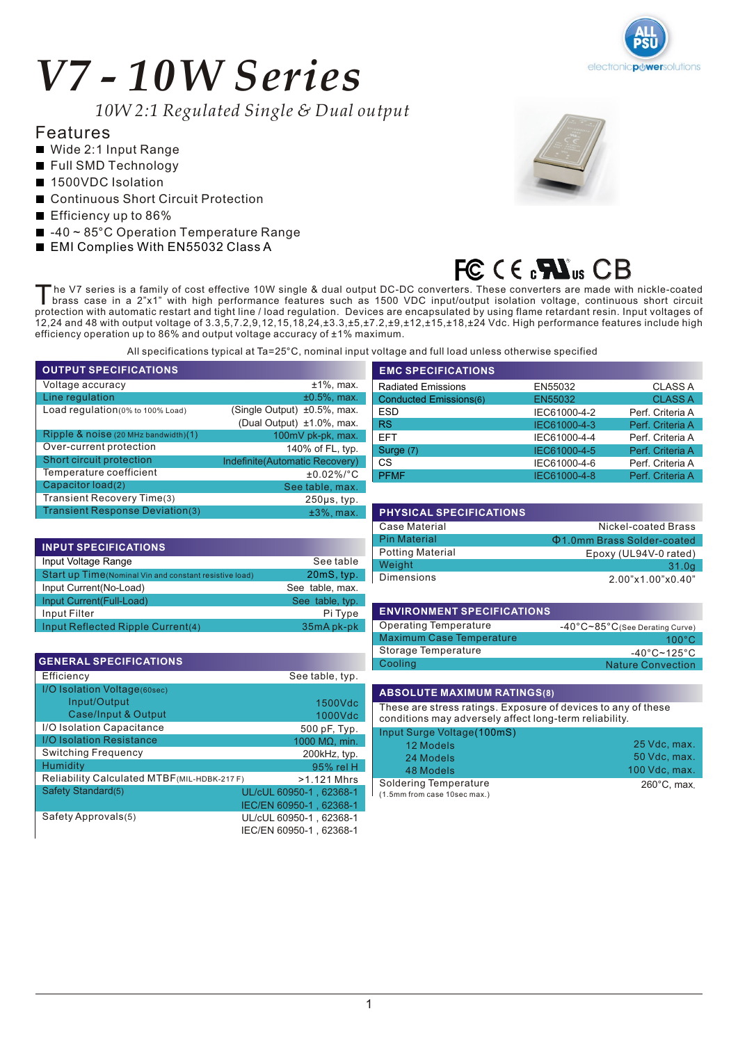# *V7 - 10W Series*

### *10W 2:1 Regulated Single & Dual output*

#### Features

- Wide 2:1 Input Range
- **Full SMD Technology**
- $\blacksquare$ 1500VDC Isolation
- Continuous Short Circuit Protection
- Efficiency up to 86%
- -40 ~ 85°C Operation Temperature Range
- EMI Complies With EN55032 Class A



electronicpuwersolutions

# FC  $C \in \mathbf{N}$ us CB

he V7 series is a family of cost effective 10W single & dual output DC-DC converters. These converters are made with nickle-coated<br>brass case in a 2"x1" with high performance features such as 1500 VDC input/output isolatio protection with automatic restart and tight line / load regulation. Devices are encapsulated by using flame retardant resin. Input voltages of 12,24 and 48 with output voltage of 3.3,5,7.2,9,12,15,18,24,±3.3,±5,±7.2,±9,±12,±15,±18,±24 Vdc. High performance features include high efficiency operation up to 86% and output voltage accuracy of ±1% maximum.

All specifications typical at Ta=25°C, nominal input voltage and full load unless otherwise specified

| <b>OUTPUT SPECIFICATIONS</b>           |                                 | <b>EMC SPECIFICATIONS</b>      |              |                     |
|----------------------------------------|---------------------------------|--------------------------------|--------------|---------------------|
| Voltage accuracy                       | $±1\%$ , max.                   | <b>Radiated Emissions</b>      | EN55032      | <b>CLASS A</b>      |
| Line regulation                        | $±0.5\%$ , max.                 | Conducted Emissions(6)         | EN55032      | <b>CLASSA</b>       |
| Load regulation(0% to 100% Load)       | (Single Output) ±0.5%, max.     | <b>ESD</b>                     | IEC61000-4-2 | Perf. Criteria A    |
|                                        | (Dual Output) ±1.0%, max.       | <b>RS</b>                      | IEC61000-4-3 | Perf. Criteria A    |
| Ripple & noise (20 MHz bandwidth)(1)   | 100mV pk-pk, max.               | <b>EFT</b>                     | IEC61000-4-4 | Perf. Criteria A    |
| Over-current protection                | 140% of FL, typ.                | Surge (7)                      | IEC61000-4-5 | Perf. Criteria A    |
| Short circuit protection               | Indefinite (Automatic Recovery) | <b>CS</b>                      | IEC61000-4-6 | Perf. Criteria A    |
| Temperature coefficient                | $±0.02\%/°C$                    | <b>PFMF</b>                    | IEC61000-4-8 | Perf. Criteria A    |
| Capacitor load(2)                      | See table, max.                 |                                |              |                     |
| <b>Transient Recovery Time(3)</b>      | $250\mu s$ , typ.               |                                |              |                     |
| <b>Transient Response Deviation(3)</b> | $±3\%$ , max.                   | <b>PHYSICAL SPECIFICATIONS</b> |              |                     |
|                                        |                                 | <b>Case Material</b>           |              | Nickel-coated Brass |

| <b>INPUT SPECIFICATIONS</b>                            |                 |
|--------------------------------------------------------|-----------------|
| Input Voltage Range                                    | See table       |
| Start up Time(Nominal Vin and constant resistive load) | 20mS, typ.      |
| Input Current(No-Load)                                 | See table, max. |
| Input Current(Full-Load)                               | See table, typ. |
| Input Filter                                           | Pi Type         |
| Input Reflected Ripple Current(4)                      | 35mA pk-pk      |

| <b>GENERAL SPECIFICATIONS</b>               |                         |
|---------------------------------------------|-------------------------|
| Efficiency                                  | See table, typ.         |
| I/O Isolation Voltage(60sec)                |                         |
| Input/Output                                | 1500Vdc                 |
| Case/Input & Output                         | 1000Vdc                 |
| I/O Isolation Capacitance                   | 500 pF, Typ.            |
| <b>I/O Isolation Resistance</b>             | 1000 $M\Omega$ , min.   |
| Switching Frequency                         | 200kHz, typ.            |
| Humidity                                    | 95% rel H               |
| Reliability Calculated MTBF (MIL-HDBK-217F) | $>1.121$ Mhrs           |
| Safety Standard(5)                          | UL/cUL 60950-1, 62368-1 |
|                                             | IEC/EN 60950-1, 62368-1 |
| Safety Approvals(5)                         | UL/cUL 60950-1, 62368-1 |
|                                             | IEC/EN 60950-1, 62368-1 |

| <b>PHYSICAL SPECIFICATIONS</b> |                                                   |
|--------------------------------|---------------------------------------------------|
| Case Material                  | Nickel-coated Brass                               |
| <b>Pin Material</b>            | <b><math>\Phi</math>1.0mm Brass Solder-coated</b> |
| <b>Potting Material</b>        | Epoxy (UL94V-0 rated)                             |
| Weight                         | 31.0q                                             |
| Dimensions                     | 2.00"x1.00"x0.40"                                 |

#### **ENVIRONMENT SPECIFICATIONS**

| Operating Temperature           | $-40^{\circ}$ C $\sim$ 85 $^{\circ}$ C(See Derating Curve) |
|---------------------------------|------------------------------------------------------------|
| <b>Maximum Case Temperature</b> | $100^{\circ}$ C                                            |
| Storage Temperature             | $-40^{\circ}$ C~125 $^{\circ}$ C                           |
| Cooling                         | <b>Nature Convection</b>                                   |

#### **ABSOLUTE MAXIMUM RATINGS(8)**

These are stress ratings. Exposure of devices to any of these conditions may adversely affect long-term reliability.

| Input Surge Voltage (100mS)  |                       |
|------------------------------|-----------------------|
| 12 Models                    | 25 Vdc. max.          |
| 24 Models                    | 50 Vdc, max.          |
| 48 Models                    | 100 Vdc, max.         |
| Soldering Temperature        | $260^{\circ}$ C. max. |
| (1.5mm from case 10sec max.) |                       |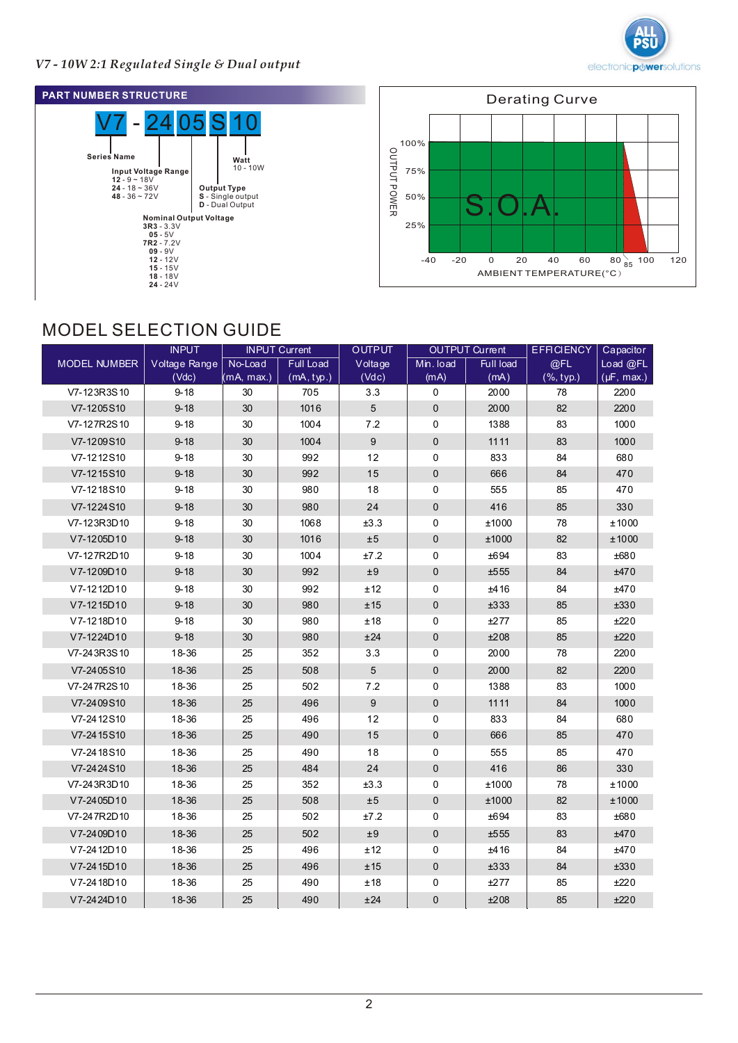





## MODEL SELECTION GUIDE

|                     | <b>INPUT</b>  |            | <b>INPUT Current</b> | OUTPUT          |             | <b>OUTPUT Current</b> | <b>EFFICIENCY</b>                        | Capacitor       |
|---------------------|---------------|------------|----------------------|-----------------|-------------|-----------------------|------------------------------------------|-----------------|
| <b>MODEL NUMBER</b> | Voltage Range | No-Load    | <b>Full Load</b>     | Voltage         | Min. load   | Full load             | @FL                                      | Load @FL        |
|                     | (Vdc)         | (mA, max.) | (mA, typ.)           | (Vdc)           | (mA)        | (mA)                  | $(% \mathsf{A}, \mathsf{A}, \mathsf{B})$ | $(\mu F, max.)$ |
| V7-123R3S10         | $9 - 18$      | 30         | 705                  | 3.3             | 0           | 2000                  | 78                                       | 2200            |
| V7-1205S10          | $9 - 18$      | 30         | 1016                 | $\overline{5}$  | $\pmb{0}$   | 2000                  | 82                                       | 2200            |
| V7-127R2S10         | $9 - 18$      | 30         | 1004                 | 7.2             | 0           | 1388                  | 83                                       | 1000            |
| V7-1209S10          | $9 - 18$      | 30         | 1004                 | 9               | $\mathbf 0$ | 1111                  | 83                                       | 1000            |
| V7-1212S10          | $9 - 18$      | 30         | 992                  | 12              | 0           | 833                   | 84                                       | 680             |
| V7-1215S10          | $9 - 18$      | 30         | 992                  | 15              | $\mathbf 0$ | 666                   | 84                                       | 470             |
| V7-1218S10          | $9 - 18$      | 30         | 980                  | 18              | 0           | 555                   | 85                                       | 470             |
| V7-1224S10          | $9 - 18$      | 30         | 980                  | 24              | $\pmb{0}$   | 416                   | 85                                       | 330             |
| V7-123R3D10         | $9 - 18$      | 30         | 1068                 | ±3.3            | 0           | ±1000                 | 78                                       | ±1000           |
| V7-1205D10          | $9 - 18$      | 30         | 1016                 | ±5              | 0           | ±1000                 | 82                                       | ±1000           |
| V7-127R2D10         | $9 - 18$      | 30         | 1004                 | ±7.2            | 0           | ±694                  | 83                                       | ±680            |
| V7-1209D10          | $9 - 18$      | 30         | 992                  | $\pm 9$         | $\mathbf 0$ | ±555                  | 84                                       | ±470            |
| V7-1212D10          | $9 - 18$      | 30         | 992                  | ±12             | 0           | ±416                  | 84                                       | ±470            |
| V7-1215D10          | $9 - 18$      | 30         | 980                  | ±15             | $\mathsf 0$ | ±333                  | 85                                       | ±330            |
| V7-1218D10          | $9 - 18$      | 30         | 980                  | ±18             | 0           | ±277                  | 85                                       | ±220            |
| V7-1224D10          | $9 - 18$      | 30         | 980                  | ±24             | $\mathbf 0$ | ±208                  | 85                                       | ±220            |
| V7-243R3S10         | 18-36         | 25         | 352                  | 3.3             | 0           | 2000                  | 78                                       | 2200            |
| V7-2405S10          | 18-36         | 25         | 508                  | $5\phantom{.0}$ | $\pmb{0}$   | 2000                  | 82                                       | 2200            |
| V7-247R2S10         | 18-36         | 25         | 502                  | 7.2             | 0           | 1388                  | 83                                       | 1000            |
| V7-2409S10          | 18-36         | 25         | 496                  | 9               | $\mathbf 0$ | 1111                  | 84                                       | 1000            |
| V7-2412S10          | 18-36         | 25         | 496                  | 12              | 0           | 833                   | 84                                       | 680             |
| V7-2415S10          | 18-36         | 25         | 490                  | 15              | $\mathbf 0$ | 666                   | 85                                       | 470             |
| V7-2418S10          | 18-36         | 25         | 490                  | 18              | 0           | 555                   | 85                                       | 470             |
| V7-2424S10          | 18-36         | 25         | 484                  | 24              | $\pmb{0}$   | 416                   | 86                                       | 330             |
| V7-243R3D10         | 18-36         | 25         | 352                  | ±3.3            | 0           | ±1000                 | 78                                       | ±1000           |
| V7-2405D10          | 18-36         | 25         | 508                  | $\pm 5$         | $\mathbf 0$ | ±1000                 | 82                                       | ±1000           |
| V7-247R2D10         | 18-36         | 25         | 502                  | ±7.2            | 0           | ±694                  | 83                                       | ±680            |
| V7-2409D10          | 18-36         | 25         | 502                  | ±9              | $\mathbf 0$ | ±555                  | 83                                       | ±470            |
| V7-2412D10          | 18-36         | 25         | 496                  | ±12             | 0           | ±416                  | 84                                       | ±470            |
| V7-2415D10          | 18-36         | 25         | 496                  | ±15             | $\mathbf 0$ | ±333                  | 84                                       | ±330            |
| V7-2418D10          | 18-36         | 25         | 490                  | ±18             | 0           | ±277                  | 85                                       | ±220            |
| V7-2424D10          | 18-36         | 25         | 490                  | ±24             | $\mathbf 0$ | ±208                  | 85                                       | ±220            |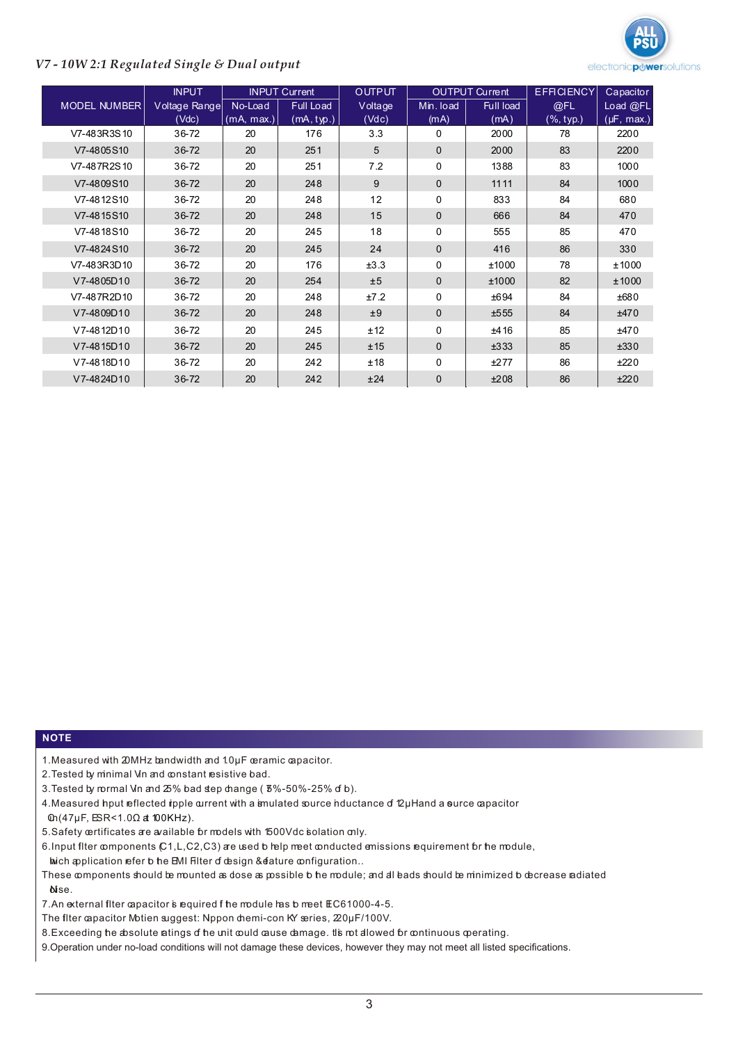

#### *V7 - 10W 2:1 Regulated Single & Dual output*

|                     | <b>INPUT</b>  |            | <b>INPUT Current</b> | <b>OUTPUT</b> |           | <b>OUTPUT Current</b> | <b>EFFICIENCY</b> | Capacitor                  |
|---------------------|---------------|------------|----------------------|---------------|-----------|-----------------------|-------------------|----------------------------|
| <b>MODEL NUMBER</b> | Voltage Range | No-Load    | <b>Full Load</b>     | Voltage       | Min. load | Full load             | @FL               | Load @FL                   |
|                     | (Vdc)         | (mA, max.) | (mA, typ.)           | (Vdc)         | (mA)      | (mA)                  | $(\% , typ.)$     | $(\mu F, \overline{max.})$ |
| V7-483R3S10         | 36-72         | 20         | 176                  | 3.3           | $\Omega$  | 2000                  | 78                | 2200                       |
| V7-4805S10          | $36 - 72$     | 20         | 251                  | 5             | $\Omega$  | 2000                  | 83                | 2200                       |
| V7-487R2S10         | 36-72         | 20         | 251                  | 7.2           | 0         | 1388                  | 83                | 1000                       |
| V7-4809S10          | $36 - 72$     | 20         | 248                  | 9             | $\Omega$  | 1111                  | 84                | 1000                       |
| V7-4812S10          | 36-72         | 20         | 248                  | 12            | 0         | 833                   | 84                | 680                        |
| V7-4815S10          | $36 - 72$     | 20         | 248                  | 15            | $\Omega$  | 666                   | 84                | 470                        |
| V7-4818S10          | 36-72         | 20         | 245                  | 18            | $\Omega$  | 555                   | 85                | 470                        |
| V7-4824S10          | 36-72         | 20         | 245                  | 24            | $\Omega$  | 416                   | 86                | 330                        |
| V7-483R3D10         | 36-72         | 20         | 176                  | ±3.3          | $\Omega$  | ±1000                 | 78                | ±1000                      |
| V7-4805D10          | $36 - 72$     | 20         | 254                  | ±5            | $\Omega$  | ±1000                 | 82                | ±1000                      |
| V7-487R2D10         | 36-72         | 20         | 248                  | ±7.2          | $\Omega$  | ±694                  | 84                | ±680                       |
| V7-4809D10          | $36 - 72$     | 20         | 248                  | ±9            | $\Omega$  | ±555                  | 84                | ±470                       |
| V7-4812D10          | 36-72         | 20         | 245                  | ±12           | $\Omega$  | ±416                  | 85                | ±470                       |
| V7-4815D10          | $36 - 72$     | 20         | 245                  | ±15           | $\Omega$  | ±333                  | 85                | ±330                       |
| V7-4818D10          | 36-72         | 20         | 242                  | ±18           | $\Omega$  | ±277                  | 86                | ±220                       |
| V7-4824D10          | 36-72         | 20         | 242                  | ±24           | $\Omega$  | ±208                  | 86                | ±220                       |

#### **NOTE**

- 1. Measured with 20 MHz bandwidth and 1.0μF ceramic capacitor.
- 2. Tested by minimal Vin and constant resistive bad.
- 3. Tested by rormal Vin and  $25%$  bad step change ( $8\%$ -50%-25% of b).
- 4. Measured hput reflected ripple current with a imulated source inductance of 12μHand a surce capacitor  $\mathbb{G}$ (47μF, ESR<1.0 $\Omega$  at 100KHz).
- 5. Safety certificates are available for models with 1500Vdc isolation only.
- 6. Input filter components  $C1, L, C2, C3$  are used b help meet conducted emissions requirement for the module, haich application refer b he EMI Filter of design & dature configuration..
- These components should be mounted as dose as possible b he module; and all bads should be minimized b decrease radiated  $Nise.$
- 7. An external filter capacitor is required f he module has b meet EC61000-4-5.
- The filter capacitor Motien suggest: Nppon chemi-con KY series,  $20\mu$ F/100V.
- 8. Exceeding the absolute ratings of the unit could cause damage. It is not allowed for continuous operating.
- 9.Operation under no-load conditions will not damage these devices, however they may not meet all listed specifications.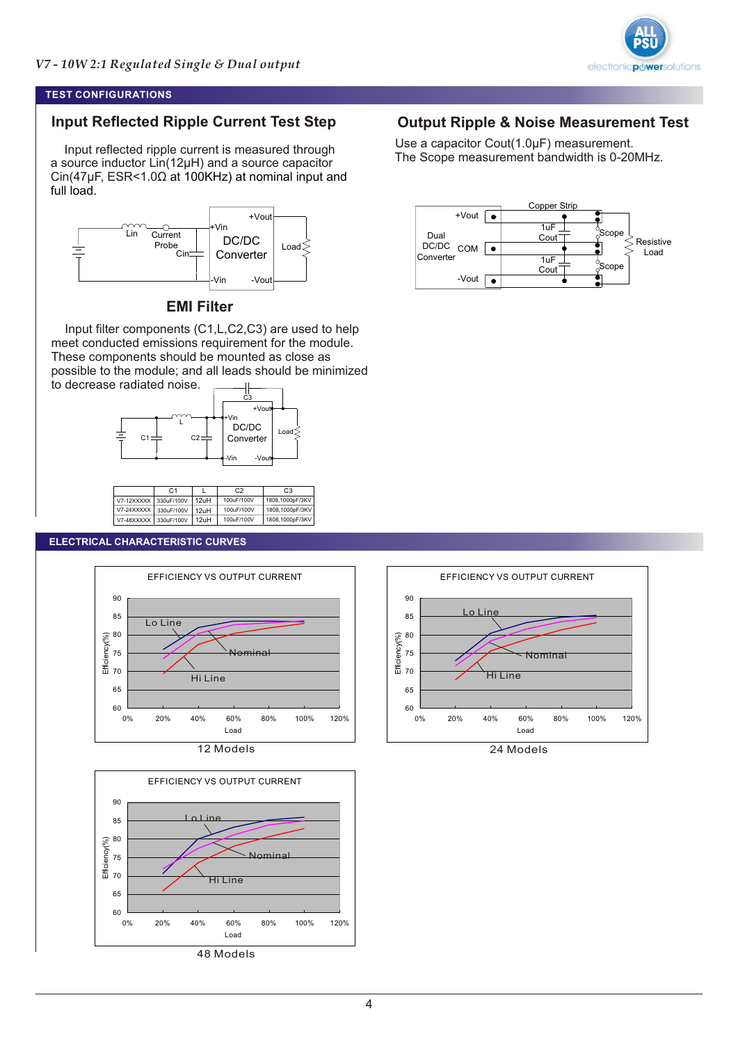

#### **TEST CONFIGURATIONS**

#### **Input Reflected Ripple Current Test Step**

 Input reflected ripple current is measured through a source inductor Lin(12µH) and a source capacitor  $\text{Cin}(47 \mu \text{F}, \text{ESR} < 1.0 \Omega \text{ at } 100 \text{KHz})$  at nominal input and full load.



#### **EMI Filter**

 Input filter components (C1,L,C2,C3) are used to help meet conducted emissions requirement for the module. These components should be mounted as close as possible to the module; and all leads should be minimized to decrease radiated noise.



|            | C <sub>1</sub> |      | C <sub>2</sub> | C <sub>3</sub>  |
|------------|----------------|------|----------------|-----------------|
| V7-12XXXXX | 330uF/100V     | 12uH | 100uF/100V     | 1808.1000pF/3KV |
| V7-24XXXXX | 330uF/100V     | 12uH | 100uF/100V     | 1808.1000pF/3KV |
| V7-48XXXXX | 330uF/100V     | 12uH | 100uF/100V     | 1808.1000pF/3KV |

#### **ELECTRICAL CHARACTERISTIC CURVES**







Use a capacitor Cout(1.0µF) measurement. The Scope measurement bandwidth is 0-20MHz.